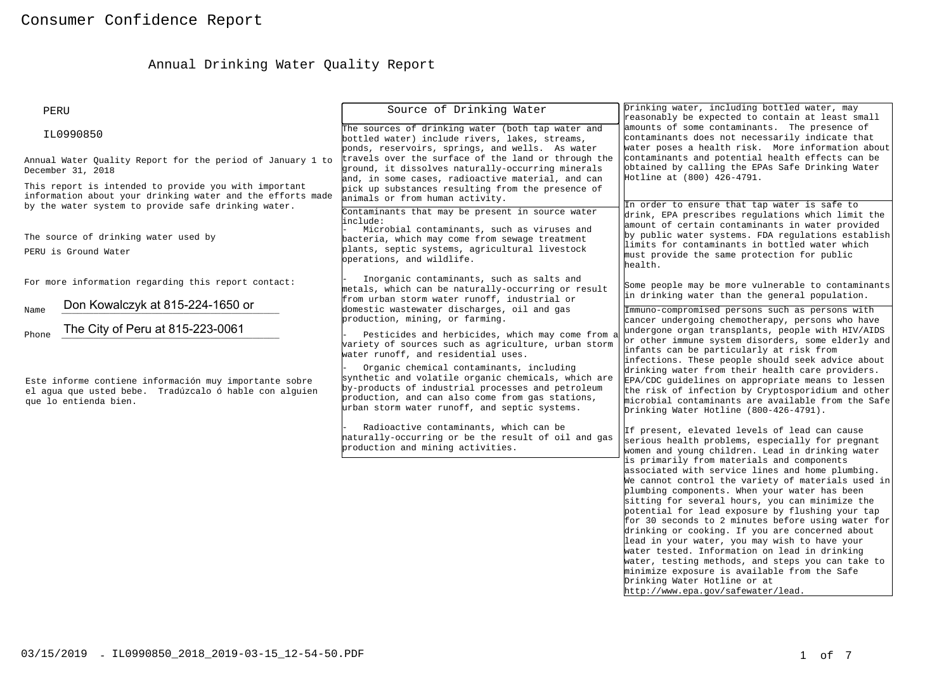# Annual Drinking Water Quality Report

| PERU                                                                                                                                                                                                   | Source of Drinking Water                                                                                                                                                                                                                                  | Drinking water, including bottled water, may<br>reasonably be expected to contain at least small                                                                                                                                                                                                                                                                                                                                                                                                                                                                                                                       |  |
|--------------------------------------------------------------------------------------------------------------------------------------------------------------------------------------------------------|-----------------------------------------------------------------------------------------------------------------------------------------------------------------------------------------------------------------------------------------------------------|------------------------------------------------------------------------------------------------------------------------------------------------------------------------------------------------------------------------------------------------------------------------------------------------------------------------------------------------------------------------------------------------------------------------------------------------------------------------------------------------------------------------------------------------------------------------------------------------------------------------|--|
| IL0990850                                                                                                                                                                                              | The sources of drinking water (both tap water and<br>bottled water) include rivers, lakes, streams,<br>ponds, reservoirs, springs, and wells. As water                                                                                                    | amounts of some contaminants. The presence of<br>contaminants does not necessarily indicate that<br>water poses a health risk. More information about                                                                                                                                                                                                                                                                                                                                                                                                                                                                  |  |
| Annual Water Quality Report for the period of January 1 to<br>December 31, 2018<br>This report is intended to provide you with important<br>information about your drinking water and the efforts made | travels over the surface of the land or through the<br>ground, it dissolves naturally-occurring minerals<br>and, in some cases, radioactive material, and can<br>pick up substances resulting from the presence of                                        | contaminants and potential health effects can be<br>obtained by calling the EPAs Safe Drinking Water<br>Hotline at (800) 426-4791.                                                                                                                                                                                                                                                                                                                                                                                                                                                                                     |  |
| by the water system to provide safe drinking water.                                                                                                                                                    | animals or from human activity.<br>Contaminants that may be present in source water<br>include:                                                                                                                                                           | In order to ensure that tap water is safe to<br>drink, EPA prescribes regulations which limit the                                                                                                                                                                                                                                                                                                                                                                                                                                                                                                                      |  |
| The source of drinking water used by<br>PERU is Ground Water                                                                                                                                           | Microbial contaminants, such as viruses and<br>bacteria, which may come from sewage treatment<br>plants, septic systems, agricultural livestock<br>operations, and wildlife.                                                                              | amount of certain contaminants in water provided<br>by public water systems. FDA regulations establish<br>limits for contaminants in bottled water which<br>must provide the same protection for public<br>health.                                                                                                                                                                                                                                                                                                                                                                                                     |  |
| For more information regarding this report contact:                                                                                                                                                    | Inorganic contaminants, such as salts and<br>metals, which can be naturally-occurring or result<br>from urban storm water runoff, industrial or                                                                                                           | Some people may be more vulnerable to contaminants<br>in drinking water than the general population.                                                                                                                                                                                                                                                                                                                                                                                                                                                                                                                   |  |
| Don Kowalczyk at 815-224-1650 or<br>Name<br>The City of Peru at 815-223-0061<br>Phone                                                                                                                  | domestic wastewater discharges, oil and gas<br>production, mining, or farming.<br>Pesticides and herbicides, which may come from a<br>variety of sources such as agriculture, urban storm<br>water runoff, and residential uses.                          | Immuno-compromised persons such as persons with<br>cancer undergoing chemotherapy, persons who have<br>undergone organ transplants, people with HIV/AIDS<br>or other immune system disorders, some elderly and<br>infants can be particularly at risk from<br>infections. These people should seek advice about                                                                                                                                                                                                                                                                                                        |  |
| Este informe contiene información muy importante sobre<br>el agua que usted bebe. Tradúzcalo ó hable con alguien<br>que lo entienda bien.                                                              | Organic chemical contaminants, including<br>synthetic and volatile organic chemicals, which are<br>by-products of industrial processes and petroleum<br>production, and can also come from gas stations,<br>urban storm water runoff, and septic systems. | drinking water from their health care providers.<br>EPA/CDC guidelines on appropriate means to lessen<br>the risk of infection by Cryptosporidium and other<br>microbial contaminants are available from the Safe<br>Drinking Water Hotline (800-426-4791).                                                                                                                                                                                                                                                                                                                                                            |  |
|                                                                                                                                                                                                        | Radioactive contaminants, which can be<br>naturally-occurring or be the result of oil and gas<br>production and mining activities.                                                                                                                        | If present, elevated levels of lead can cause<br>serious health problems, especially for pregnant<br>women and young children. Lead in drinking water<br>is primarily from materials and components                                                                                                                                                                                                                                                                                                                                                                                                                    |  |
|                                                                                                                                                                                                        |                                                                                                                                                                                                                                                           | associated with service lines and home plumbing.<br>We cannot control the variety of materials used in $\vert$<br>plumbing components. When your water has been<br>sitting for several hours, you can minimize the<br>potential for lead exposure by flushing your tap<br>for 30 seconds to 2 minutes before using water for<br>drinking or cooking. If you are concerned about<br>lead in your water, you may wish to have your<br>water tested. Information on lead in drinking<br>water, testing methods, and steps you can take to<br>minimize exposure is available from the Safe<br>Drinking Water Hotline or at |  |
|                                                                                                                                                                                                        |                                                                                                                                                                                                                                                           | http://www.epa.qov/safewater/lead.                                                                                                                                                                                                                                                                                                                                                                                                                                                                                                                                                                                     |  |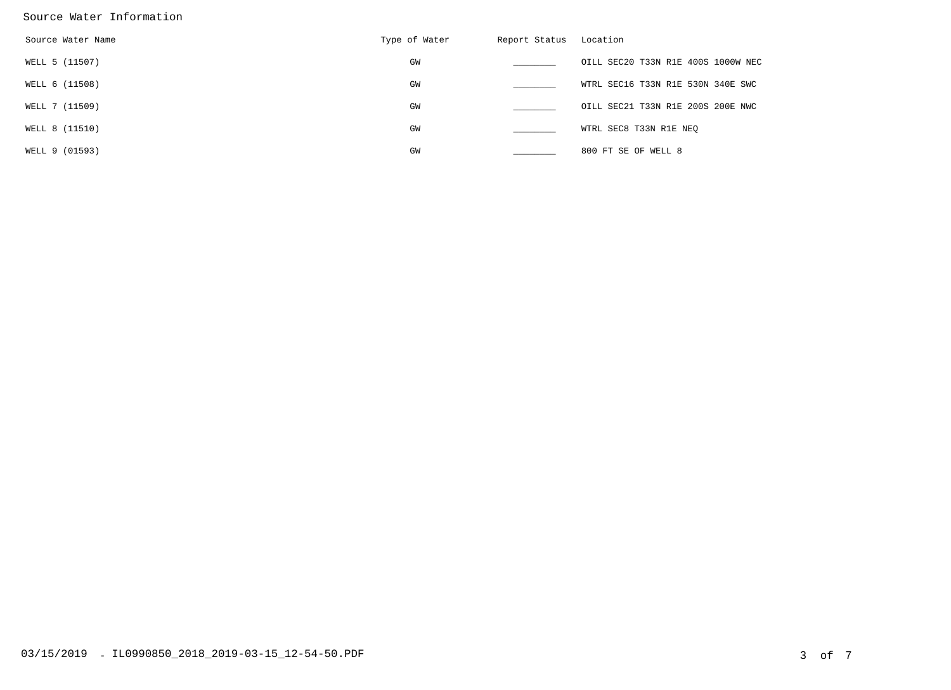#### Source Water Information

| Source Water Name | Type of Water | Report Status | Location                           |
|-------------------|---------------|---------------|------------------------------------|
| WELL 5 (11507)    | GW            |               | OILL SEC20 T33N R1E 400S 1000W NEC |
| WELL 6 (11508)    | GW            |               | WTRL SEC16 T33N R1E 530N 340E SWC  |
| WELL 7 (11509)    | GW            |               | OILL SEC21 T33N R1E 200S 200E NWC  |
| WELL 8 (11510)    | GW            |               | WTRL SEC8 T33N R1E NEQ             |
| WELL 9 (01593)    | GW            |               | 800 FT SE OF WELL 8                |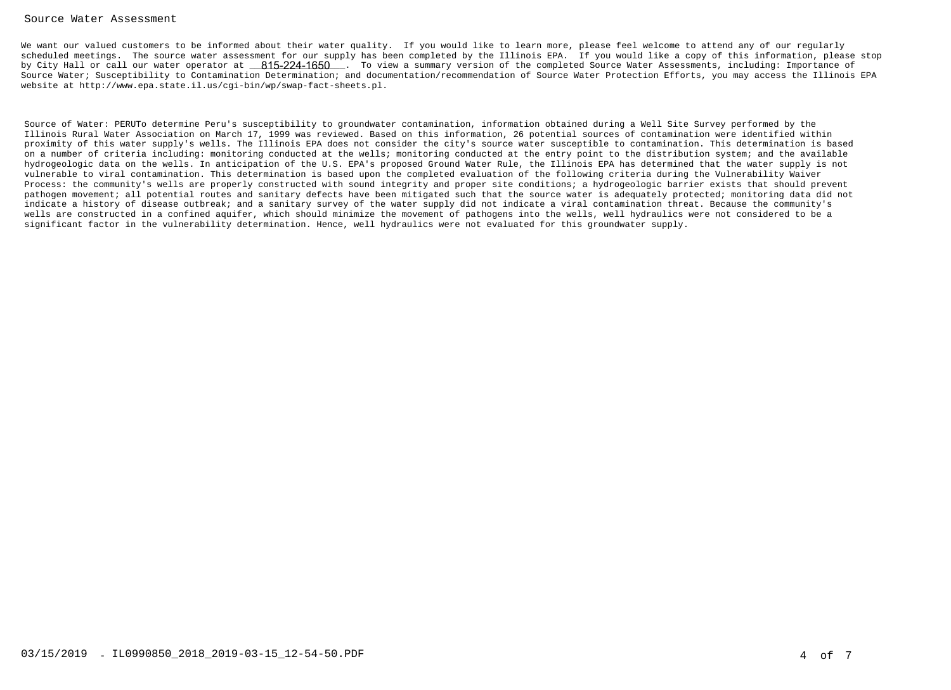#### Source Water Assessment

We want our valued customers to be informed about their water quality. If you would like to learn more, please feel welcome to attend any of our regularly scheduled meetings. The source water assessment for our supply has been completed by the Illinois EPA. If you would like a copy of this information, please stopby City Hall or call our water operator at \_\_\_\_<mark>815-224-1650</mark> \_. To view a summary version of the completed Source Water Assessments, including: Importance of Source Water; Susceptibility to Contamination Determination; and documentation/recommendation of Source Water Protection Efforts, you may access the Illinois EPAwebsite at http://www.epa.state.il.us/cgi-bin/wp/swap-fact-sheets.pl.

Source of Water: PERUTo determine Peru's susceptibility to groundwater contamination, information obtained during a Well Site Survey performed by the Illinois Rural Water Association on March 17, 1999 was reviewed. Based on this information, 26 potential sources of contamination were identified within proximity of this water supply's wells. The Illinois EPA does not consider the city's source water susceptible to contamination. This determination is based on a number of criteria including: monitoring conducted at the wells; monitoring conducted at the entry point to the distribution system; and the available hydrogeologic data on the wells. In anticipation of the U.S. EPA's proposed Ground Water Rule, the Illinois EPA has determined that the water supply is notvulnerable to viral contamination. This determination is based upon the completed evaluation of the following criteria during the Vulnerability Waiver Process: the community's wells are properly constructed with sound integrity and proper site conditions; a hydrogeologic barrier exists that should prevent pathogen movement; all potential routes and sanitary defects have been mitigated such that the source water is adequately protected; monitoring data did notindicate a history of disease outbreak; and a sanitary survey of the water supply did not indicate a viral contamination threat. Because the community's wells are constructed in a confined aquifer, which should minimize the movement of pathogens into the wells, well hydraulics were not considered to be asignificant factor in the vulnerability determination. Hence, well hydraulics were not evaluated for this groundwater supply.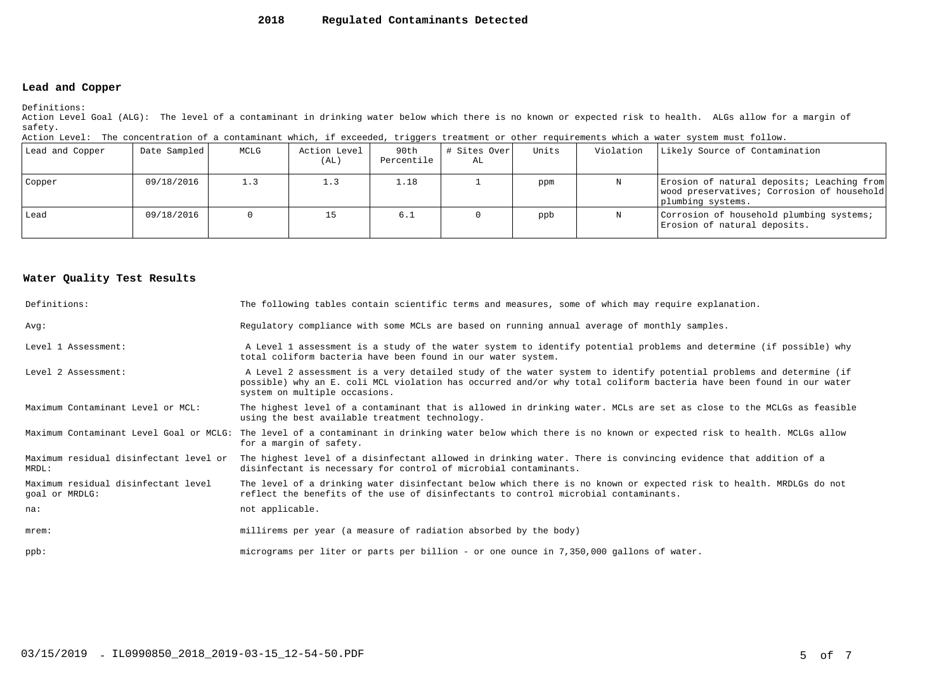#### **2018Regulated Contaminants Detected**

### **Lead and Copper**

Definitions:

 Action Level Goal (ALG): The level of a contaminant in drinking water below which there is no known or expected risk to health. ALGs allow for a margin ofsafety.

| Action Level: The concentration of a contaminant which, if exceeded, triggers treatment or other requirements which a water system must follow. |  |  |  |
|-------------------------------------------------------------------------------------------------------------------------------------------------|--|--|--|
|                                                                                                                                                 |  |  |  |

| Lead and Copper | Date Sampled | MCLG | Action Level<br>(AL) | 90th<br>Percentile | # Sites Over <br>AL | Units | Violation | Likely Source of Contamination                                                                                |
|-----------------|--------------|------|----------------------|--------------------|---------------------|-------|-----------|---------------------------------------------------------------------------------------------------------------|
| Copper          | 09/18/2016   | 1.3  |                      | 1.18               |                     | ppm   |           | Erosion of natural deposits; Leaching from<br>wood preservatives; Corrosion of household<br>plumbing systems. |
| Lead            | 09/18/2016   |      |                      | 6.1                |                     | ppb   |           | Corrosion of household plumbing systems;<br>Erosion of natural deposits.                                      |

#### **Water Quality Test Results**

| Definitions:                                          | The following tables contain scientific terms and measures, some of which may require explanation.                                                                                                                                                                         |
|-------------------------------------------------------|----------------------------------------------------------------------------------------------------------------------------------------------------------------------------------------------------------------------------------------------------------------------------|
| Avq:                                                  | Regulatory compliance with some MCLs are based on running annual average of monthly samples.                                                                                                                                                                               |
| Level 1 Assessment:                                   | A Level 1 assessment is a study of the water system to identify potential problems and determine (if possible) why<br>total coliform bacteria have been found in our water system.                                                                                         |
| Level 2 Assessment:                                   | A Level 2 assessment is a very detailed study of the water system to identify potential problems and determine (if<br>possible) why an E. coli MCL violation has occurred and/or why total coliform bacteria have been found in our water<br>system on multiple occasions. |
| Maximum Contaminant Level or MCL:                     | The highest level of a contaminant that is allowed in drinking water. MCLs are set as close to the MCLGs as feasible<br>using the best available treatment technology.                                                                                                     |
| Maximum Contaminant Level Goal or MCLG:               | The level of a contaminant in drinking water below which there is no known or expected risk to health. MCLGs allow<br>for a margin of safety.                                                                                                                              |
| Maximum residual disinfectant level or<br>MRDL:       | The highest level of a disinfectant allowed in drinking water. There is convincing evidence that addition of a<br>disinfectant is necessary for control of microbial contaminants.                                                                                         |
| Maximum residual disinfectant level<br>goal or MRDLG: | The level of a drinking water disinfectant below which there is no known or expected risk to health. MRDLGs do not<br>reflect the benefits of the use of disinfectants to control microbial contaminants.                                                                  |
| na:                                                   | not applicable.                                                                                                                                                                                                                                                            |
| $m$ rem:                                              | millirems per year (a measure of radiation absorbed by the body)                                                                                                                                                                                                           |
| $ppb$ :                                               | micrograms per liter or parts per billion - or one ounce in 7,350,000 gallons of water.                                                                                                                                                                                    |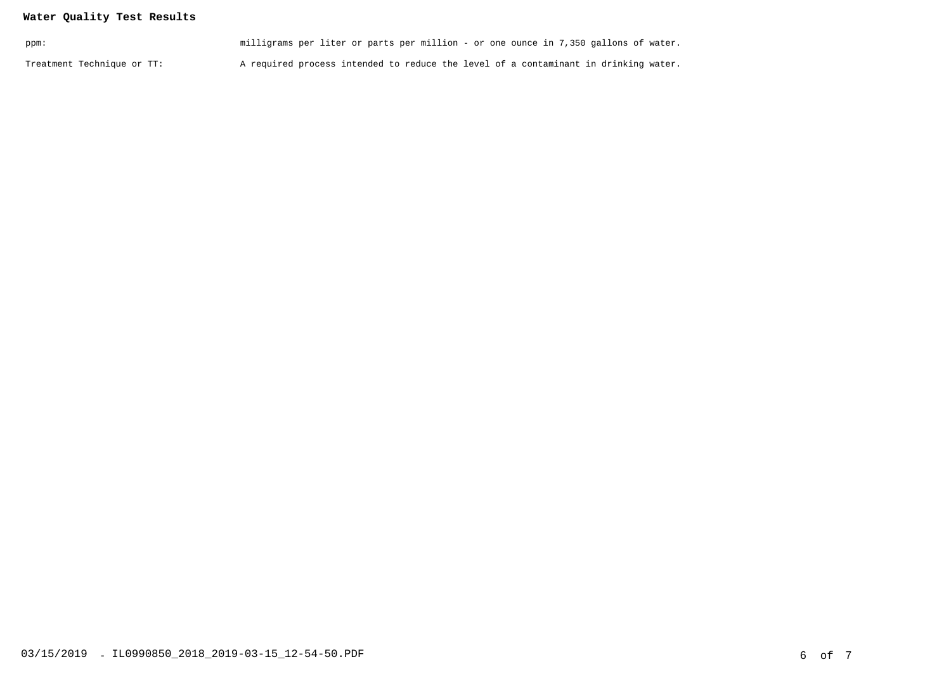## **Water Quality Test Results**

| ppm:                       | milligrams per liter or parts per million - or one ounce in 7,350 gallons of water. |  |
|----------------------------|-------------------------------------------------------------------------------------|--|
| Treatment Technique or TT: | A required process intended to reduce the level of a contaminant in drinking water. |  |